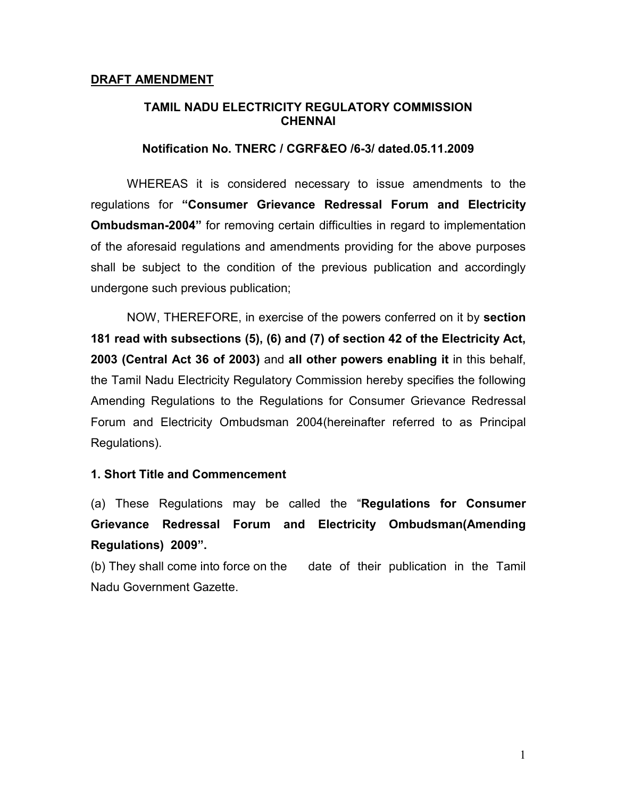### TAMIL NADU ELECTRICITY REGULATORY COMMISSION **CHENNAI**

#### Notification No. TNERC / CGRF&EO /6-3/ dated.05.11.2009

WHEREAS it is considered necessary to issue amendments to the regulations for "Consumer Grievance Redressal Forum and Electricity Ombudsman-2004" for removing certain difficulties in regard to implementation of the aforesaid regulations and amendments providing for the above purposes shall be subject to the condition of the previous publication and accordingly undergone such previous publication;

NOW, THEREFORE, in exercise of the powers conferred on it by section 181 read with subsections (5), (6) and (7) of section 42 of the Electricity Act, 2003 (Central Act 36 of 2003) and all other powers enabling it in this behalf, the Tamil Nadu Electricity Regulatory Commission hereby specifies the following Amending Regulations to the Regulations for Consumer Grievance Redressal Forum and Electricity Ombudsman 2004(hereinafter referred to as Principal Regulations).

#### 1. Short Title and Commencement

(a) These Regulations may be called the "Regulations for Consumer Grievance Redressal Forum and Electricity Ombudsman(Amending Regulations) 2009".

(b) They shall come into force on the date of their publication in the Tamil Nadu Government Gazette.